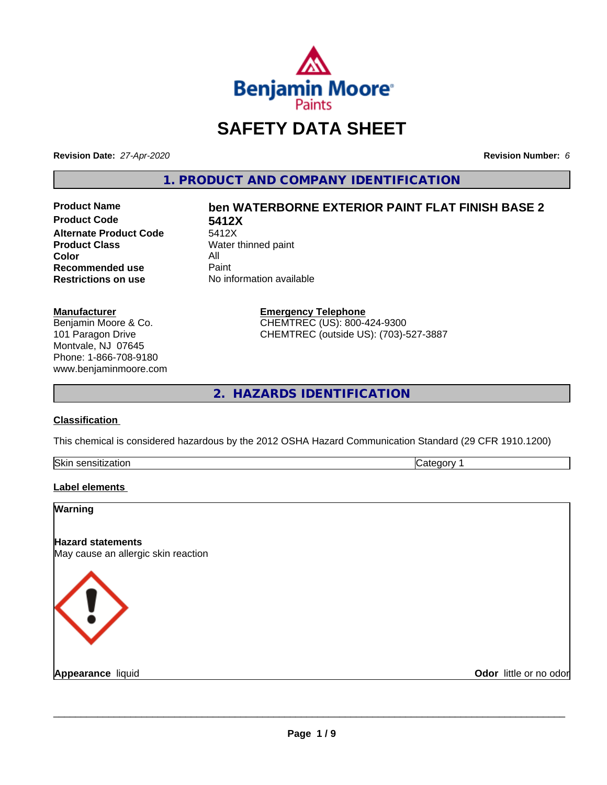

## **SAFETY DATA SHEET**

**Revision Date:** *27-Apr-2020* **Revision Number:** *6*

**1. PRODUCT AND COMPANY IDENTIFICATION**

**Product Code 5412X Alternate Product Code**<br>Product Class **Color** All<br> **Recommended use** Paint **Recommended use**<br>Restrictions on use

# **Product Name ben WATERBORNE EXTERIOR PAINT FLAT FINISH BASE 2**

**Water thinned paint No information available** 

> **Emergency Telephone** CHEMTREC (US): 800-424-9300 CHEMTREC (outside US): (703)-527-3887

**2. HAZARDS IDENTIFICATION**

#### **Classification**

**Manufacturer**

Benjamin Moore & Co. 101 Paragon Drive Montvale, NJ 07645 Phone: 1-866-708-9180 www.benjaminmoore.com

This chemical is considered hazardous by the 2012 OSHA Hazard Communication Standard (29 CFR 1910.1200)

| Skin<br>. <i>.</i><br>auvr.<br>- 11 | ־ |
|-------------------------------------|---|

#### **Label elements**

| Warning                                                         |                        |
|-----------------------------------------------------------------|------------------------|
| <b>Hazard statements</b><br>May cause an allergic skin reaction |                        |
| <b>KI</b>                                                       |                        |
| <b>Appearance liquid</b>                                        | Odor little or no odor |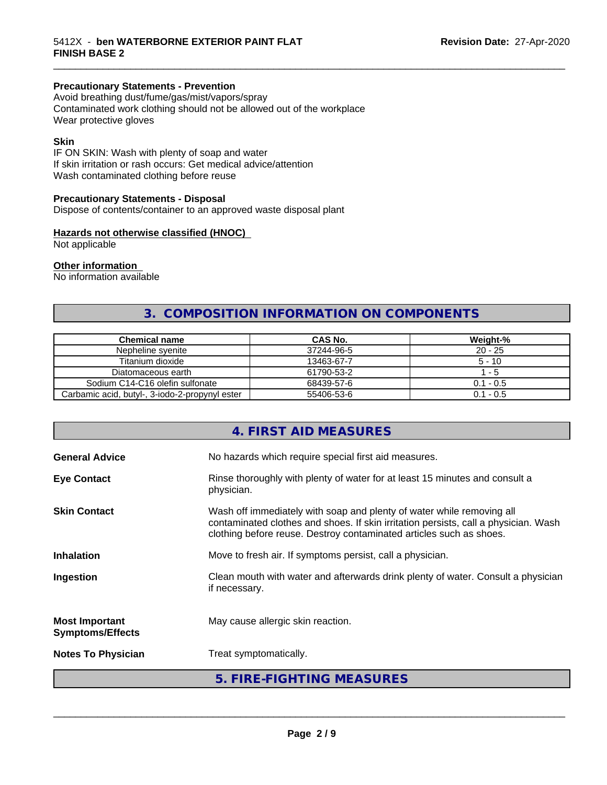#### **Precautionary Statements - Prevention**

Avoid breathing dust/fume/gas/mist/vapors/spray Contaminated work clothing should not be allowed out of the workplace Wear protective gloves

#### **Skin**

IF ON SKIN: Wash with plenty of soap and water If skin irritation or rash occurs: Get medical advice/attention Wash contaminated clothing before reuse

#### **Precautionary Statements - Disposal**

Dispose of contents/container to an approved waste disposal plant

#### **Hazards not otherwise classified (HNOC)**

Not applicable

#### **Other information**

No information available

### **3. COMPOSITION INFORMATION ON COMPONENTS**

\_\_\_\_\_\_\_\_\_\_\_\_\_\_\_\_\_\_\_\_\_\_\_\_\_\_\_\_\_\_\_\_\_\_\_\_\_\_\_\_\_\_\_\_\_\_\_\_\_\_\_\_\_\_\_\_\_\_\_\_\_\_\_\_\_\_\_\_\_\_\_\_\_\_\_\_\_\_\_\_\_\_\_\_\_\_\_\_\_\_\_\_\_

| <b>Chemical name</b>                           | CAS No.    | Weight-%    |
|------------------------------------------------|------------|-------------|
| Nepheline svenite                              | 37244-96-5 | $20 - 25$   |
| Titanium dioxide                               | 13463-67-7 | $5 - 10$    |
| Diatomaceous earth                             | 61790-53-2 | - 5         |
| Sodium C14-C16 olefin sulfonate                | 68439-57-6 | $0.1 - 0.5$ |
| Carbamic acid, butyl-, 3-iodo-2-propynyl ester | 55406-53-6 | $0.1 - 0.5$ |

|                                                  | 4. FIRST AID MEASURES                                                                                                                                                                                                               |
|--------------------------------------------------|-------------------------------------------------------------------------------------------------------------------------------------------------------------------------------------------------------------------------------------|
| <b>General Advice</b>                            | No hazards which require special first aid measures.                                                                                                                                                                                |
| <b>Eye Contact</b>                               | Rinse thoroughly with plenty of water for at least 15 minutes and consult a<br>physician.                                                                                                                                           |
| <b>Skin Contact</b>                              | Wash off immediately with soap and plenty of water while removing all<br>contaminated clothes and shoes. If skin irritation persists, call a physician. Wash<br>clothing before reuse. Destroy contaminated articles such as shoes. |
| <b>Inhalation</b>                                | Move to fresh air. If symptoms persist, call a physician.                                                                                                                                                                           |
| Ingestion                                        | Clean mouth with water and afterwards drink plenty of water. Consult a physician<br>if necessary.                                                                                                                                   |
| <b>Most Important</b><br><b>Symptoms/Effects</b> | May cause allergic skin reaction.                                                                                                                                                                                                   |
| <b>Notes To Physician</b>                        | Treat symptomatically.                                                                                                                                                                                                              |
|                                                  | 5. FIRE-FIGHTING MEASURES                                                                                                                                                                                                           |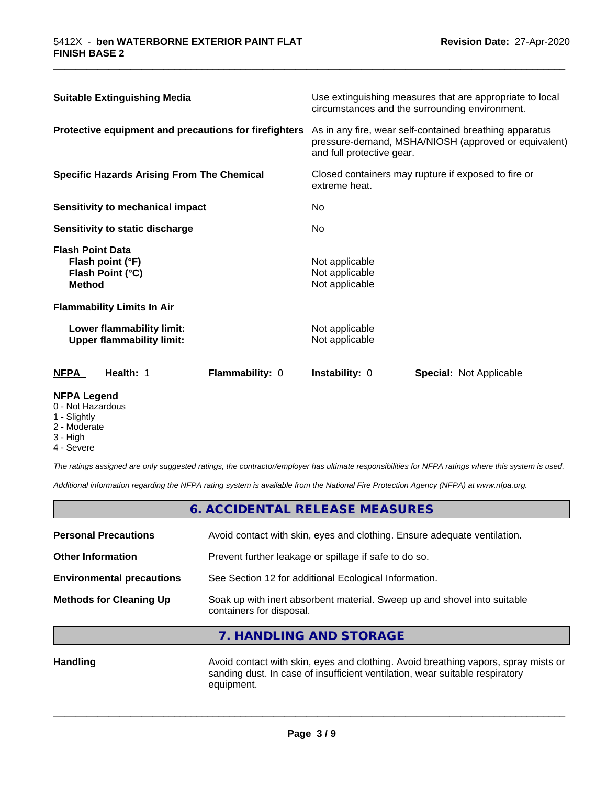| <b>Suitable Extinguishing Media</b><br>Protective equipment and precautions for firefighters |                                                               | Use extinguishing measures that are appropriate to local<br>circumstances and the surrounding environment.<br>As in any fire, wear self-contained breathing apparatus<br>pressure-demand, MSHA/NIOSH (approved or equivalent)<br>and full protective gear. |                                                    |                                                                                       |
|----------------------------------------------------------------------------------------------|---------------------------------------------------------------|------------------------------------------------------------------------------------------------------------------------------------------------------------------------------------------------------------------------------------------------------------|----------------------------------------------------|---------------------------------------------------------------------------------------|
|                                                                                              |                                                               |                                                                                                                                                                                                                                                            |                                                    | <b>Specific Hazards Arising From The Chemical</b><br>Sensitivity to mechanical impact |
| No.                                                                                          |                                                               |                                                                                                                                                                                                                                                            |                                                    |                                                                                       |
|                                                                                              | Sensitivity to static discharge                               |                                                                                                                                                                                                                                                            | No.                                                |                                                                                       |
| <b>Flash Point Data</b><br><b>Method</b>                                                     | Flash point (°F)<br>Flash Point (°C)                          |                                                                                                                                                                                                                                                            | Not applicable<br>Not applicable<br>Not applicable |                                                                                       |
|                                                                                              | <b>Flammability Limits In Air</b>                             |                                                                                                                                                                                                                                                            |                                                    |                                                                                       |
|                                                                                              | Lower flammability limit:<br><b>Upper flammability limit:</b> |                                                                                                                                                                                                                                                            | Not applicable<br>Not applicable                   |                                                                                       |
| <b>NFPA</b>                                                                                  | Health: 1                                                     | <b>Flammability: 0</b>                                                                                                                                                                                                                                     | Instability: 0                                     | <b>Special:</b> Not Applicable                                                        |

\_\_\_\_\_\_\_\_\_\_\_\_\_\_\_\_\_\_\_\_\_\_\_\_\_\_\_\_\_\_\_\_\_\_\_\_\_\_\_\_\_\_\_\_\_\_\_\_\_\_\_\_\_\_\_\_\_\_\_\_\_\_\_\_\_\_\_\_\_\_\_\_\_\_\_\_\_\_\_\_\_\_\_\_\_\_\_\_\_\_\_\_\_

#### **NFPA Legend**

- 0 Not Hazardous
- 1 Slightly
- 2 Moderate
- 3 High
- 4 Severe

*The ratings assigned are only suggested ratings, the contractor/employer has ultimate responsibilities for NFPA ratings where this system is used.*

*Additional information regarding the NFPA rating system is available from the National Fire Protection Agency (NFPA) at www.nfpa.org.*

|                                  | 6. ACCIDENTAL RELEASE MEASURES                                                                       |  |
|----------------------------------|------------------------------------------------------------------------------------------------------|--|
| <b>Personal Precautions</b>      | Avoid contact with skin, eyes and clothing. Ensure adequate ventilation.                             |  |
| <b>Other Information</b>         | Prevent further leakage or spillage if safe to do so.                                                |  |
| <b>Environmental precautions</b> | See Section 12 for additional Ecological Information.                                                |  |
| <b>Methods for Cleaning Up</b>   | Soak up with inert absorbent material. Sweep up and shovel into suitable<br>containers for disposal. |  |

**7. HANDLING AND STORAGE**

Handling **Handling Avoid contact with skin, eyes and clothing. Avoid breathing vapors, spray mists or** sanding dust. In case of insufficient ventilation, wear suitable respiratory equipment.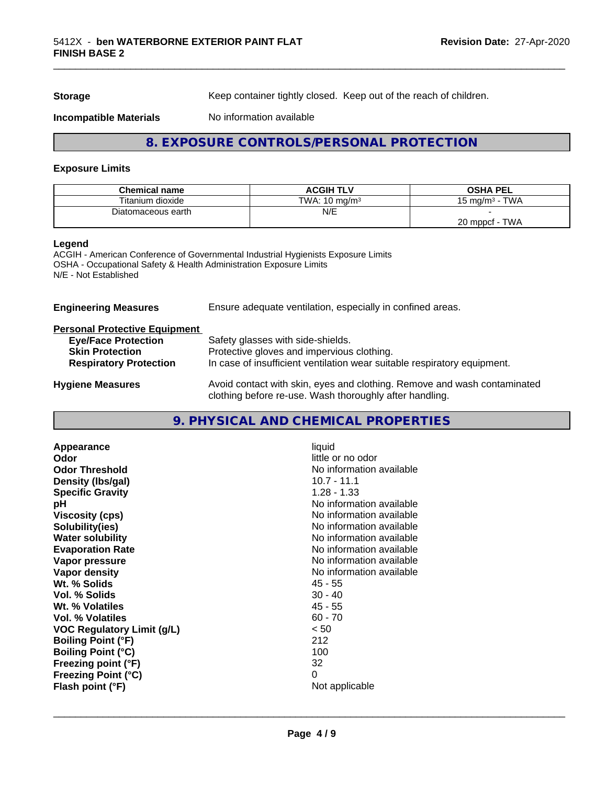**Storage** Keep container tightly closed. Keep out of the reach of children.

**Incompatible Materials** No information available

#### **8. EXPOSURE CONTROLS/PERSONAL PROTECTION**

#### **Exposure Limits**

| <b>Chemical name</b> | <b>ACGIH TLV</b>         | <b>OSHA PEL</b>             |
|----------------------|--------------------------|-----------------------------|
| Titanium dioxide     | TWA: $10 \text{ mg/m}^3$ | <b>TWA</b><br>, ma/m $^3\,$ |
| Diatomaceous earth   | N/E                      |                             |
|                      |                          | TWA<br>20 mppcf             |

#### **Legend**

ACGIH - American Conference of Governmental Industrial Hygienists Exposure Limits OSHA - Occupational Safety & Health Administration Exposure Limits N/E - Not Established

| Ensure adequate ventilation, especially in confined areas.                                                                          |  |
|-------------------------------------------------------------------------------------------------------------------------------------|--|
|                                                                                                                                     |  |
| Safety glasses with side-shields.                                                                                                   |  |
| Protective gloves and impervious clothing.                                                                                          |  |
| In case of insufficient ventilation wear suitable respiratory equipment.                                                            |  |
| Avoid contact with skin, eyes and clothing. Remove and wash contaminated<br>clothing before re-use. Wash thoroughly after handling. |  |
|                                                                                                                                     |  |

#### **9. PHYSICAL AND CHEMICAL PROPERTIES**

| liquid<br>little or no odor<br>No information available<br>$10.7 - 11.1$<br>$1.28 - 1.33$<br>No information available<br>No information available<br>No information available<br>No information available<br>No information available<br>No information available<br>No information available<br>$45 - 55$<br>$30 - 40$<br>$45 - 55$<br>$60 - 70$<br>< 50<br>212<br>100<br>32 |
|-------------------------------------------------------------------------------------------------------------------------------------------------------------------------------------------------------------------------------------------------------------------------------------------------------------------------------------------------------------------------------|
| 0<br>Not applicable                                                                                                                                                                                                                                                                                                                                                           |
|                                                                                                                                                                                                                                                                                                                                                                               |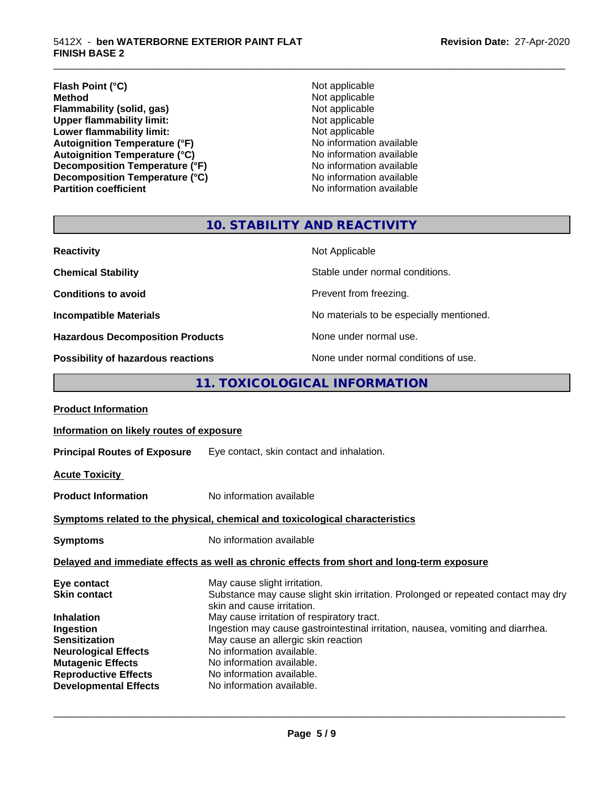#### **Flash Point (°C)**<br> **Method** Not applicable<br>
Not applicable<br>
Not applicable **Flammability (solid, gas)**<br> **Commability limit:**<br>
Upper flammability limit:<br>
Not applicable **Upper flammability limit:**<br> **Lower flammability limit:**<br>
Not applicable<br>
Not applicable **Lower flammability limit:**<br> **Autoignition Temperature (°F)**<br>
Mo information available Autoignition Temperature (°F)<br>
Autoignition Temperature (°C)<br>
No information available Autoignition **Temperature** (°C) Mo information available<br>Decomposition **Temperature** (°F) No information available **Decomposition Temperature (°F)** No information available<br> **Decomposition Temperature (°C)** No information available **Decomposition Temperature (°C) Partition coefficient Contract Contract Contract Contract Contract Contract Contract Contract Contract Contract Contract Contract Contract Contract Contract Contract Contract Contract Contract Contract Contract Contract**

**Not applicable**<br>**Not applicable** 

\_\_\_\_\_\_\_\_\_\_\_\_\_\_\_\_\_\_\_\_\_\_\_\_\_\_\_\_\_\_\_\_\_\_\_\_\_\_\_\_\_\_\_\_\_\_\_\_\_\_\_\_\_\_\_\_\_\_\_\_\_\_\_\_\_\_\_\_\_\_\_\_\_\_\_\_\_\_\_\_\_\_\_\_\_\_\_\_\_\_\_\_\_

## **10. STABILITY AND REACTIVITY**

| <b>Reactivity</b>                       | Not Applicable                           |
|-----------------------------------------|------------------------------------------|
| <b>Chemical Stability</b>               | Stable under normal conditions.          |
| <b>Conditions to avoid</b>              | Prevent from freezing.                   |
| <b>Incompatible Materials</b>           | No materials to be especially mentioned. |
| <b>Hazardous Decomposition Products</b> | None under normal use.                   |
| Possibility of hazardous reactions      | None under normal conditions of use.     |

#### **11. TOXICOLOGICAL INFORMATION**

| <b>Product Information</b>                                                                                                                                                             |                                                                                                                                                                                                                                                                                                                                                                                                                |  |
|----------------------------------------------------------------------------------------------------------------------------------------------------------------------------------------|----------------------------------------------------------------------------------------------------------------------------------------------------------------------------------------------------------------------------------------------------------------------------------------------------------------------------------------------------------------------------------------------------------------|--|
| Information on likely routes of exposure                                                                                                                                               |                                                                                                                                                                                                                                                                                                                                                                                                                |  |
|                                                                                                                                                                                        | <b>Principal Routes of Exposure</b> Eye contact, skin contact and inhalation.                                                                                                                                                                                                                                                                                                                                  |  |
| <b>Acute Toxicity</b>                                                                                                                                                                  |                                                                                                                                                                                                                                                                                                                                                                                                                |  |
| <b>Product Information</b>                                                                                                                                                             | No information available                                                                                                                                                                                                                                                                                                                                                                                       |  |
| Symptoms related to the physical, chemical and toxicological characteristics                                                                                                           |                                                                                                                                                                                                                                                                                                                                                                                                                |  |
| <b>Symptoms</b>                                                                                                                                                                        | No information available                                                                                                                                                                                                                                                                                                                                                                                       |  |
| Delayed and immediate effects as well as chronic effects from short and long-term exposure                                                                                             |                                                                                                                                                                                                                                                                                                                                                                                                                |  |
| Eye contact<br><b>Skin contact</b><br><b>Inhalation</b><br>Ingestion<br><b>Sensitization</b><br><b>Neurological Effects</b><br><b>Mutagenic Effects</b><br><b>Reproductive Effects</b> | May cause slight irritation.<br>Substance may cause slight skin irritation. Prolonged or repeated contact may dry<br>skin and cause irritation.<br>May cause irritation of respiratory tract.<br>Ingestion may cause gastrointestinal irritation, nausea, vomiting and diarrhea.<br>May cause an allergic skin reaction<br>No information available.<br>No information available.<br>No information available. |  |
| <b>Developmental Effects</b>                                                                                                                                                           | No information available.                                                                                                                                                                                                                                                                                                                                                                                      |  |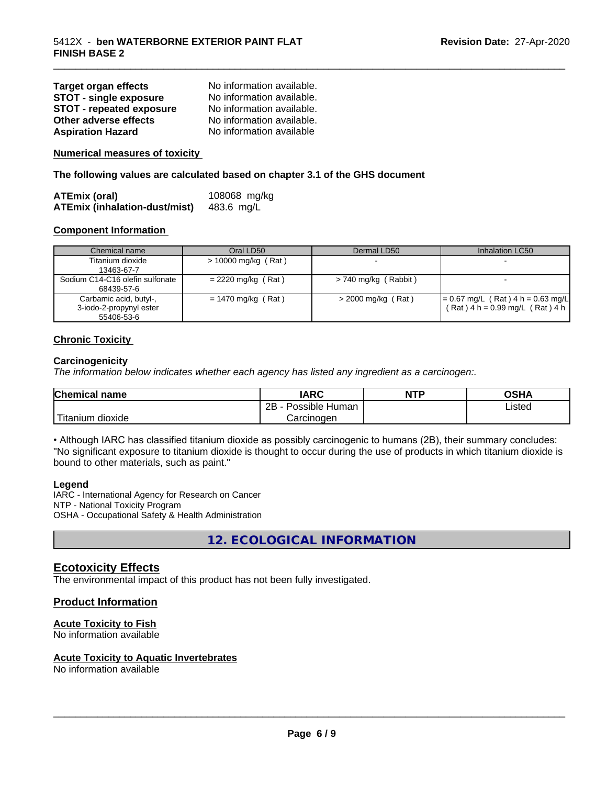| <b>Target organ effects</b>     | No information available. |
|---------------------------------|---------------------------|
| <b>STOT - single exposure</b>   | No information available. |
| <b>STOT - repeated exposure</b> | No information available. |
| Other adverse effects           | No information available. |
| <b>Aspiration Hazard</b>        | No information available  |

**Numerical measures of toxicity**

**The following values are calculated based on chapter 3.1 of the GHS document**

| <b>ATEmix (oral)</b>                 | 108068 mg/kg |
|--------------------------------------|--------------|
| <b>ATEmix (inhalation-dust/mist)</b> | 483.6 mg/L   |

#### **Component Information**

| Chemical name                                                   | Oral LD50            | Dermal LD50            | Inhalation LC50                                                            |
|-----------------------------------------------------------------|----------------------|------------------------|----------------------------------------------------------------------------|
| Titanium dioxide                                                | > 10000 mg/kg (Rat)  |                        |                                                                            |
| 13463-67-7                                                      |                      |                        |                                                                            |
| Sodium C14-C16 olefin sulfonate<br>68439-57-6                   | $= 2220$ mg/kg (Rat) | $> 740$ mg/kg (Rabbit) |                                                                            |
| Carbamic acid, butyl-,<br>3-iodo-2-propynyl ester<br>55406-53-6 | $= 1470$ mg/kg (Rat) | $>$ 2000 mg/kg (Rat)   | $= 0.67$ mg/L (Rat) 4 h = 0.63 mg/L<br>$(Rat)$ 4 h = 0.99 mg/L $(Rat)$ 4 h |

\_\_\_\_\_\_\_\_\_\_\_\_\_\_\_\_\_\_\_\_\_\_\_\_\_\_\_\_\_\_\_\_\_\_\_\_\_\_\_\_\_\_\_\_\_\_\_\_\_\_\_\_\_\_\_\_\_\_\_\_\_\_\_\_\_\_\_\_\_\_\_\_\_\_\_\_\_\_\_\_\_\_\_\_\_\_\_\_\_\_\_\_\_

#### **Chronic Toxicity**

#### **Carcinogenicity**

*The information below indicateswhether each agency has listed any ingredient as a carcinogen:.*

| Chemical<br>name       | <b>IARC</b>                  | <b>NTP</b> | <b>OSHA</b> |
|------------------------|------------------------------|------------|-------------|
|                        | .<br>2B<br>Possible<br>Human |            | Listed      |
| n dioxide<br>l itanıum | Carcinoɑen                   |            |             |

• Although IARC has classified titanium dioxide as possibly carcinogenic to humans (2B), their summary concludes: "No significant exposure to titanium dioxide is thought to occur during the use of products in which titanium dioxide is bound to other materials, such as paint."

#### **Legend**

IARC - International Agency for Research on Cancer NTP - National Toxicity Program OSHA - Occupational Safety & Health Administration

**12. ECOLOGICAL INFORMATION**

#### **Ecotoxicity Effects**

The environmental impact of this product has not been fully investigated.

#### **Product Information**

#### **Acute Toxicity to Fish**

No information available

#### **Acute Toxicity to Aquatic Invertebrates**

No information available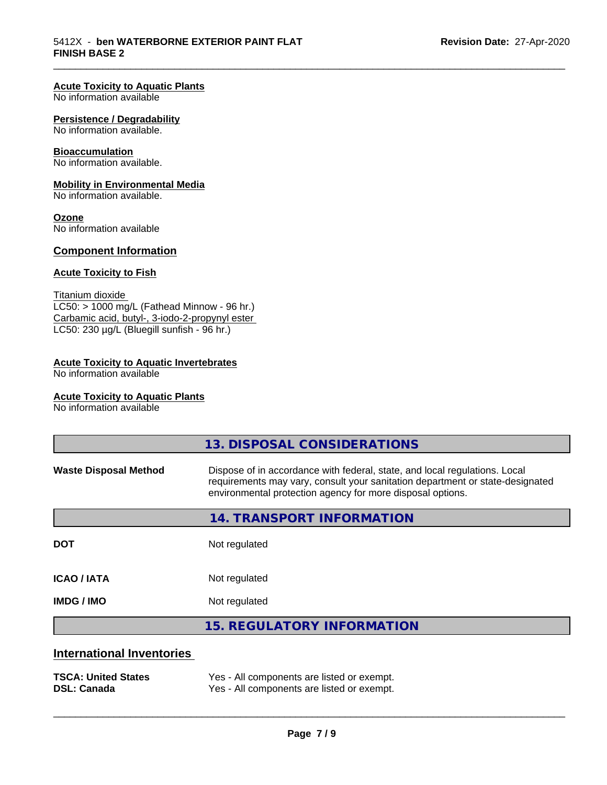\_\_\_\_\_\_\_\_\_\_\_\_\_\_\_\_\_\_\_\_\_\_\_\_\_\_\_\_\_\_\_\_\_\_\_\_\_\_\_\_\_\_\_\_\_\_\_\_\_\_\_\_\_\_\_\_\_\_\_\_\_\_\_\_\_\_\_\_\_\_\_\_\_\_\_\_\_\_\_\_\_\_\_\_\_\_\_\_\_\_\_\_\_

#### **Acute Toxicity to Aquatic Plants**

No information available

#### **Persistence / Degradability**

No information available.

#### **Bioaccumulation**

No information available.

#### **Mobility in Environmental Media**

No information available.

#### **Ozone**

No information available

#### **Component Information**

#### **Acute Toxicity to Fish**

Titanium dioxide  $LC50:$  > 1000 mg/L (Fathead Minnow - 96 hr.) Carbamic acid, butyl-, 3-iodo-2-propynyl ester LC50: 230 µg/L (Bluegill sunfish - 96 hr.)

#### **Acute Toxicity to Aquatic Invertebrates**

No information available

#### **Acute Toxicity to Aquatic Plants**

No information available

|                                  | 13. DISPOSAL CONSIDERATIONS                                                                                                                                                                                               |
|----------------------------------|---------------------------------------------------------------------------------------------------------------------------------------------------------------------------------------------------------------------------|
| <b>Waste Disposal Method</b>     | Dispose of in accordance with federal, state, and local regulations. Local<br>requirements may vary, consult your sanitation department or state-designated<br>environmental protection agency for more disposal options. |
|                                  | 14. TRANSPORT INFORMATION                                                                                                                                                                                                 |
| <b>DOT</b>                       | Not regulated                                                                                                                                                                                                             |
| <b>ICAO/IATA</b>                 | Not regulated                                                                                                                                                                                                             |
| <b>IMDG / IMO</b>                | Not regulated                                                                                                                                                                                                             |
|                                  | <b>15. REGULATORY INFORMATION</b>                                                                                                                                                                                         |
| <b>International Inventories</b> |                                                                                                                                                                                                                           |
|                                  |                                                                                                                                                                                                                           |

**TSCA: United States** Yes - All components are listed or exempt. **DSL: Canada** Yes - All components are listed or exempt.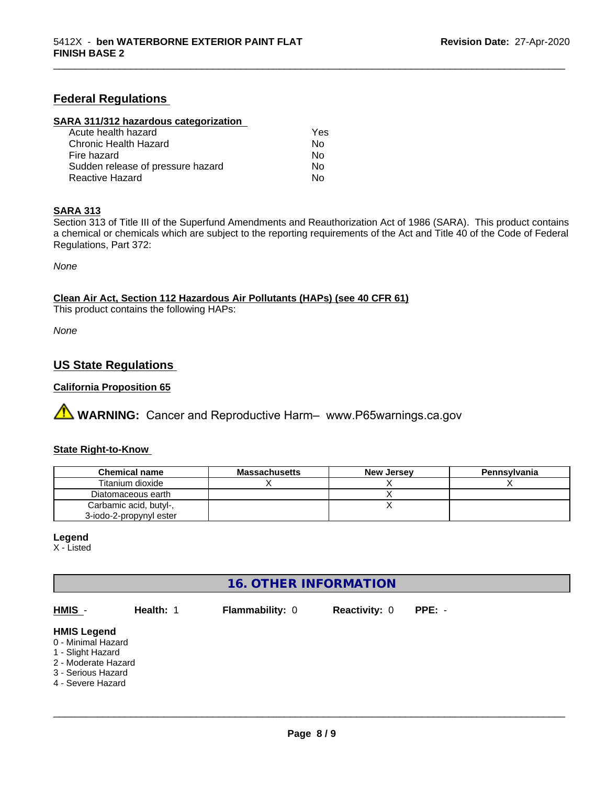#### **Federal Regulations**

#### **SARA 311/312 hazardous categorization**

| Acute health hazard               | Yes |
|-----------------------------------|-----|
| Chronic Health Hazard             | Nο  |
| Fire hazard                       | Nο  |
| Sudden release of pressure hazard | Nο  |
| Reactive Hazard                   | N٥  |

#### **SARA 313**

Section 313 of Title III of the Superfund Amendments and Reauthorization Act of 1986 (SARA). This product contains a chemical or chemicals which are subject to the reporting requirements of the Act and Title 40 of the Code of Federal Regulations, Part 372:

\_\_\_\_\_\_\_\_\_\_\_\_\_\_\_\_\_\_\_\_\_\_\_\_\_\_\_\_\_\_\_\_\_\_\_\_\_\_\_\_\_\_\_\_\_\_\_\_\_\_\_\_\_\_\_\_\_\_\_\_\_\_\_\_\_\_\_\_\_\_\_\_\_\_\_\_\_\_\_\_\_\_\_\_\_\_\_\_\_\_\_\_\_

*None*

**Clean Air Act,Section 112 Hazardous Air Pollutants (HAPs) (see 40 CFR 61)**

This product contains the following HAPs:

*None*

#### **US State Regulations**

#### **California Proposition 65**

**A WARNING:** Cancer and Reproductive Harm– www.P65warnings.ca.gov

#### **State Right-to-Know**

| <b>Chemical name</b>    | <b>Massachusetts</b> | <b>New Jersey</b> | Pennsylvania |
|-------------------------|----------------------|-------------------|--------------|
| Titanium dioxide        |                      |                   |              |
| Diatomaceous earth      |                      |                   |              |
| Carbamic acid, butyl-,  |                      |                   |              |
| 3-iodo-2-propynyl ester |                      |                   |              |

#### **Legend**

X - Listed

#### **16. OTHER INFORMATION**

| HMIS -                                                                                                                          | Health: 1 | <b>Flammability: 0</b> | <b>Reactivity: 0</b> | $PPE: -$ |
|---------------------------------------------------------------------------------------------------------------------------------|-----------|------------------------|----------------------|----------|
| <b>HMIS Legend</b><br>0 - Minimal Hazard<br>1 - Slight Hazard<br>2 - Moderate Hazard<br>3 - Serious Hazard<br>4 - Severe Hazard |           |                        |                      |          |